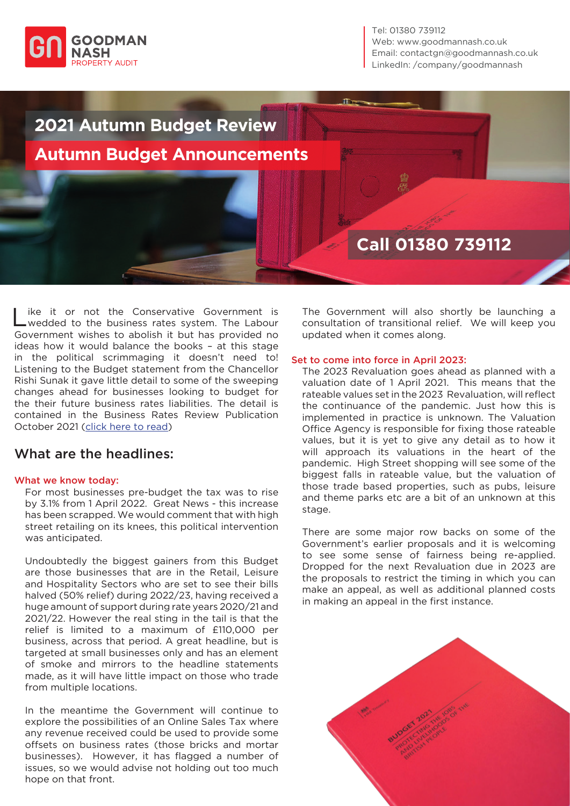

Tel: 01380 739112 Web: www.goodmannash.co.uk Email: contactgn@goodmannash.co.uk LinkedIn: [/company/goodmannash](https://www.linkedin.com/company/goodmannash/)



Like it or not the Conservative Government is<br>
Lwedded to the business rates system. The Labour Government wishes to abolish it but has provided no ideas how it would balance the books – at this stage in the political scrimmaging it doesn't need to! Listening to the Budget statement from the Chancellor Rishi Sunak it gave little detail to some of the sweeping changes ahead for businesses looking to budget for the their future business rates liabilities. The detail is contained in the Business Rates Review Publication October 2021 [\(click here to read\)](https://assets.publishing.service.gov.uk/government/uploads/system/uploads/attachment_data/file/1028478/BRR_final.pdf)

## What are the headlines:

## What we know today:

For most businesses pre-budget the tax was to rise by 3.1% from 1 April 2022. Great News - this increase has been scrapped. We would comment that with high street retailing on its knees, this political intervention was anticipated.

Undoubtedly the biggest gainers from this Budget are those businesses that are in the Retail, Leisure and Hospitality Sectors who are set to see their bills halved (50% relief) during 2022/23, having received a huge amount of support during rate years 2020/21 and 2021/22. However the real sting in the tail is that the relief is limited to a maximum of £110,000 per business, across that period. A great headline, but is targeted at small businesses only and has an element of smoke and mirrors to the headline statements made, as it will have little impact on those who trade from multiple locations.

In the meantime the Government will continue to explore the possibilities of an Online Sales Tax where any revenue received could be used to provide some offsets on business rates (those bricks and mortar businesses). However, it has flagged a number of issues, so we would advise not holding out too much hope on that front.

The Government will also shortly be launching a consultation of transitional relief. We will keep you updated when it comes along.

## Set to come into force in April 2023:

The 2023 Revaluation goes ahead as planned with a valuation date of 1 April 2021. This means that the rateable values set in the 2023 Revaluation, will reflect the continuance of the pandemic. Just how this is implemented in practice is unknown. The Valuation Office Agency is responsible for fixing those rateable values, but it is yet to give any detail as to how it will approach its valuations in the heart of the pandemic. High Street shopping will see some of the biggest falls in rateable value, but the valuation of those trade based properties, such as pubs, leisure and theme parks etc are a bit of an unknown at this stage.

There are some major row backs on some of the Government's earlier proposals and it is welcoming to see some sense of fairness being re-applied. Dropped for the next Revaluation due in 2023 are the proposals to restrict the timing in which you can make an appeal, as well as additional planned costs in making an appeal in the first instance.